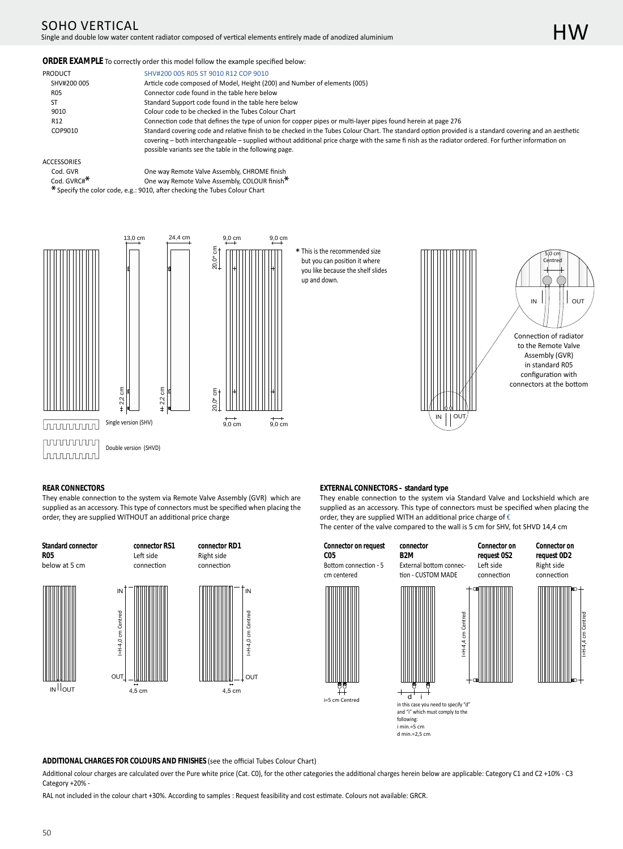## SOHO VERTICAL Single and double low water content radiator composed of vertical elements entirely made of anodized aluminium

#### **ORDER EXAMPLE** To correctly order this model follow the example specified below:

| PRODUCT         | SHV#200 005 R05 ST 9010 R12 COP 9010                                                                                                                     |
|-----------------|----------------------------------------------------------------------------------------------------------------------------------------------------------|
| SHV#200 005     | Article code composed of Model, Height (200) and Number of elements (005)                                                                                |
| <b>R05</b>      | Connector code found in the table here below                                                                                                             |
| SΤ              | Standard Support code found in the table here below                                                                                                      |
| 9010            | Colour code to be checked in the Tubes Colour Chart                                                                                                      |
| R <sub>12</sub> | Connection code that defines the type of union for copper pipes or multi-layer pipes found herein at page 276                                            |
| COP9010         | Standard covering code and relative finish to be checked in the Tubes Colour Chart. The standard option provided is a standard covering and an aesthetic |
|                 | covering – both interchangeable – supplied without additional price charge with the same finish as the radiator ordered. For further information on      |
|                 | possible variants see the table in the following page.                                                                                                   |

#### ACCESSORIES

- 
- 

Cod. GVR COD COD COD COD COD COD CONCILED CODENTIAL COLOUR finish<br>
Cone way Remote Valve Assembly, COLOUR finish One way Remote Valve Assembly, COLOUR finish<sup>\*</sup> \* Specify the color code, e.g.: 9010, after checking the Tubes Colour Chart





\* This is the recommended size but you can position it where you like because the shelf slides up and down.





Connection of radiator to the Remote Valve Assembly (GVR) in standard R05 configuration with connectors at the bottom

## **REAR CONNECTORS**

**Standard connector**

They enable connection to the system via Remote Valve Assembly (GVR) which are supplied as an accessory. This type of connectors must be specified when placing the order, they are supplied WITHOUT an additional price charge





Left side connection

OUT







**C05**

**Connector on request**

Bottom connection - 5



i=5 cm Centred

**B2M** External bottom connection - CUSTOM MADE

order, they are supplied WITH an additional price charge of  $\epsilon$ 

**connector**

#### **Connector on request 0D2** Right side connecƟon



**EXTERNAL CONNECTORS – standard type** 



They enable connection to the system via Standard Valve and Lockshield which are supplied as an accessory. This type of connectors must be specified when placing the

The center of the valve compared to the wall is 5 cm for SHV, fot SHVD 14,4 cm



**Connector on request 0S2** Left side



I=H-4,4 cm Centred

 $d$  i in this case you need to specify "d" and "i" which must comply to the following:  $i$  min.=5 cm d min͘=2,5 cm

#### ADDITIONAL CHARGES FOR COLOURS AND FINISHES (see the official Tubes Colour Chart)

4,5 cm 4,5 cm

Additional colour charges are calculated over the Pure white price (Cat. C0), for the other categories the additional charges herein below are applicable: Category C1 and C2 +10% - C3 Category +20% -

RAL not included in the colour chart +30%. According to samples : Request feasibility and cost estimate. Colours not available: GRCR.

OUT

E  $= H - 4.0$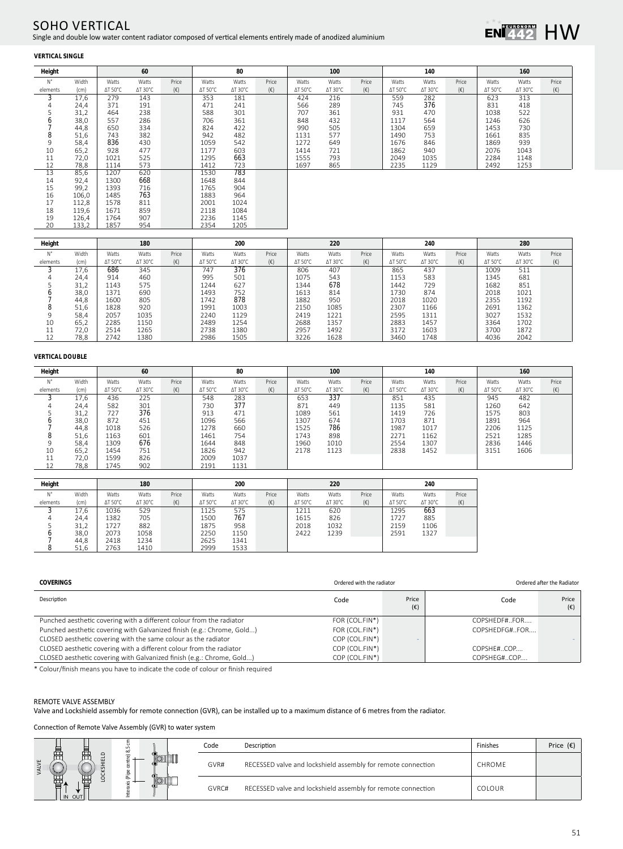## SOHO VERTICAL Single and double low water content radiator composed of vertical elements entirely made of anodized aluminium



## **VERTICAL SINGLE**

| Height      |       |                 | 60              |              |                 | 80      |              |         | 100             |              |                 | 140             |              |         | 160     |              |
|-------------|-------|-----------------|-----------------|--------------|-----------------|---------|--------------|---------|-----------------|--------------|-----------------|-----------------|--------------|---------|---------|--------------|
| $N^{\circ}$ | Width | Watts           | Watts           | Price        | Watts           | Watts   | Price        | Watts   | Watts           | Price        | Watts           | Watts           | Price        | Watts   | Watts   | Price        |
| elements    | (cm)  | $\Delta T$ 50°C | $\Delta T$ 30°C | $(\epsilon)$ | $\Delta T$ 50°C | ∆T 30°C | $(\epsilon)$ | ∆T 50°C | $\Delta$ T 30°C | $(\epsilon)$ | $\Delta T$ 50°C | $\Delta T$ 30°C | $(\epsilon)$ | ∆T 50°C | ∆T 30°C | $(\epsilon)$ |
| 3           | 17,6  | 279             | 143             |              | 353             | 181     |              | 424     | 216             |              | 559             | 282             |              | 623     | 313     |              |
| 4           | 24,4  | 371             | 191             |              | 471             | 241     |              | 566     | 289             |              | 745             | 376             |              | 831     | 418     |              |
|             | 31,2  | 464             | 238             |              | 588             | 301     |              | 707     | 361             |              | 931             | 470             |              | 1038    | 522     |              |
| O           | 38,0  | 557             | 286             |              | 706             | 361     |              | 848     | 432             |              | 1117            | 564             |              | 1246    | 626     |              |
|             | 44,8  | 650             | 334             |              | 824             | 422     |              | 990     | 505             |              | 1304            | 659             |              | 1453    | 730     |              |
| 8           | 51,6  | 743             | 382             |              | 942             | 482     |              | 1131    | 577             |              | 1490            | 753             |              | 1661    | 835     |              |
| 9           | 58,4  | 836             | 430             |              | 1059            | 542     |              | 1272    | 649             |              | 1676            | 846             |              | 1869    | 939     |              |
| 10          | 65,2  | 928             | 477             |              | 1177            | 603     |              | 1414    | 721             |              | 1862            | 940             |              | 2076    | 1043    |              |
| 11          | 72,0  | 1021            | 525             |              | 1295            | 663     |              | 1555    | 793             |              | 2049            | 1035            |              | 2284    | 1148    |              |
| 12          | 78,8  | 1114            | 573             |              | 1412            | 723     |              | 1697    | 865             |              | 2235            | 1129            |              | 2492    | 1253    |              |
| 13          | 85,6  | 1207            | 620             |              | 1530            | 783     |              |         |                 |              |                 |                 |              |         |         |              |
| 14          | 92,4  | 1300            | 668             |              | 1648            | 844     |              |         |                 |              |                 |                 |              |         |         |              |
| 15          | 99,2  | 1393            | 716             |              | 1765            | 904     |              |         |                 |              |                 |                 |              |         |         |              |
| 16          | 106,0 | 1485            | 763             |              | 1883            | 964     |              |         |                 |              |                 |                 |              |         |         |              |
| 17          | 112,8 | 1578            | 811             |              | 2001            | 1024    |              |         |                 |              |                 |                 |              |         |         |              |
| 18          | 119,6 | 1671            | 859             |              | 2118            | 1084    |              |         |                 |              |                 |                 |              |         |         |              |
| 19          | 126,4 | 1764            | 907             |              | 2236            | 1145    |              |         |                 |              |                 |                 |              |         |         |              |
| 20          | 133,2 | 1857            | 954             |              | 2354            | 1205    |              |         |                 |              |                 |                 |              |         |         |              |
|             |       |                 |                 |              |                 |         |              |         |                 |              |                 |                 |              |         |         |              |

| Height   |       |                 | 180             |              |                 | 200             |              |         | 220             |              |                 | 240             |              |                 | 280             |              |
|----------|-------|-----------------|-----------------|--------------|-----------------|-----------------|--------------|---------|-----------------|--------------|-----------------|-----------------|--------------|-----------------|-----------------|--------------|
| N°       | Width | Watts           | Watts           | Price        | Watts           | Watts           | Price        | Watts   | Watts           | Price        | Watts           | Watts           | Price        | Watts           | Watts           | Price        |
| elements | (cm)  | $\Delta T$ 50°C | $\Delta$ T 30°C | $(\epsilon)$ | $\Delta T$ 50°C | $\Delta$ T 30°C | $(\epsilon)$ | ΔT 50°C | $\Delta$ T 30°C | $(\epsilon)$ | $\Delta T$ 50°C | $\Delta$ T 30°C | $(\epsilon)$ | $\Delta T$ 50°C | $\Delta$ T 30°C | $(\epsilon)$ |
|          | 17.6  | 686             | 345             |              | 747             | 376             |              | 806     | 407             |              | 865             | 437             |              | 1009            | 511             |              |
|          | 24,4  | 914             | 460             |              | 995             | 501             |              | 1075    | 543             |              | 1153            | 583             |              | 1345            | 681             |              |
|          | 31,2  | 1143            | 575             |              | 1244            | 627             |              | 1344    | 678             |              | 1442            | 729             |              | 1682            | 851             |              |
|          | 38,0  | 1371            | 690             |              | 1493            | 752             |              | 1613    | 814             |              | 1730            | 874             |              | 2018            | 1021            |              |
|          | 44,8  | 1600            | 805             |              | 1742            | 878             |              | 1882    | 950             |              | 2018            | 1020            |              | 2355            | 1192            |              |
|          | 51,6  | 1828            | 920             |              | 1991            | 1003            |              | 2150    | 1085            |              | 2307            | 1166            |              | 2691            | 1362            |              |
|          | 58.4  | 2057            | 1035            |              | 2240            | 1129            |              | 2419    | 1221            |              | 2595            | 1311            |              | 3027            | 1532            |              |
| 10       | 65,2  | 2285            | 1150            |              | 2489            | 1254            |              | 2688    | 1357            |              | 2883            | 1457            |              | 3364            | 1702            |              |
| 11<br>⊥⊥ | 72.0  | 2514            | 1265            |              | 2738            | 1380            |              | 2957    | 1492            |              | 3172            | 1603            |              | 3700            | 1872            |              |
|          | 78.8  | 2742            | 1380            |              | 2986            | 1505            |              | 3226    | 1628            |              | 3460            | 1748            |              | 4036            | 2042            |              |

## **VERTICAL DOUBLE**

| Height   |       | 60              |                 |              | 80              |                 |              | 100     |                 |              | 140             |                 |              | 160     |                 |              |
|----------|-------|-----------------|-----------------|--------------|-----------------|-----------------|--------------|---------|-----------------|--------------|-----------------|-----------------|--------------|---------|-----------------|--------------|
| N°       | Width | Watts           | Watts           | Price        | Watts           | Watts           | Price        | Watts   | Watts           | Price        | Watts           | Watts           | Price        | Watts   | Watts           | Price        |
| elements | (cm)  | $\Delta T$ 50°C | $\Delta$ T 30°C | $(\epsilon)$ | $\Delta T$ 50°C | $\Delta$ T 30°C | $(\epsilon)$ | ΔT 50°C | $\Delta$ T 30°C | $(\epsilon)$ | $\Delta T$ 50°C | $\Delta$ T 30°C | $(\epsilon)$ | ΔT 50°C | $\Delta T$ 30°C | $(\epsilon)$ |
|          | 17.6  | 436             | 225             |              | 548             | 283             |              | 653     | 337             |              | 851             | 435             |              | 945     | 482             |              |
|          | 24,4  | 582             | 301             |              | 730             | 377             |              | 871     | 449             |              | 1135            | 581             |              | 1260    | 642             |              |
|          | 31,2  | 727             | 376             |              | 913             | 471             |              | 1089    | 561             |              | 1419            | 726             |              | 1575    | 803             |              |
|          | 38,0  | 872             | 451             |              | 1096            | 566             |              | 1307    | 674             |              | 1703            | 871             |              | 1891    | 964             |              |
|          | 44,8  | 1018            | 526             |              | 1278            | 660             |              | 1525    | 786             |              | 1987            | 1017            |              | 2206    | 1125            |              |
|          | 51,6  | 1163            | 601             |              | 1461            | 754             |              | 1743    | 898             |              | 2271            | 1162            |              | 2521    | 1285            |              |
| 9        | 58.4  | 1309            | 676             |              | 1644            | 848             |              | 1960    | 1010            |              | 2554            | 1307            |              | 2836    | 1446            |              |
| 10       | 65,2  | 1454            | 751             |              | 1826            | 942             |              | 2178    | 1123            |              | 2838            | 1452            |              | 3151    | 1606            |              |
| 11<br>ᆠ  | 72,0  | 1599            | 826             |              | 2009            | 1037            |              |         |                 |              |                 |                 |              |         |                 |              |
| ┸        | 78.8  | 1745            | 902             |              | 2191            | 1131            |              |         |                 |              |                 |                 |              |         |                 |              |

| Height   |       |                 | 180             |              |                 | 200             |              |                 | 220             |              |                 | 240             |              |
|----------|-------|-----------------|-----------------|--------------|-----------------|-----------------|--------------|-----------------|-----------------|--------------|-----------------|-----------------|--------------|
| N°       | Width | Watts           | Watts           | Price        | Watts           | Watts           | Price        | Watts           | Watts           | Price        | Watts           | Watts           | Price        |
| elements | (cm)  | $\Delta T$ 50°C | $\Delta$ T 30°C | $(\epsilon)$ | $\Delta T$ 50°C | $\Delta$ T 30°C | $(\epsilon)$ | $\Delta T$ 50°C | $\Delta$ T 30°C | $(\epsilon)$ | $\Delta T$ 50°C | $\Delta$ T 30°C | $(\epsilon)$ |
| $\cdot$  | 17.6  | 1036            | 529             |              | 1125            | 575             |              | 1211            | 620             |              | 1295            | 663             |              |
| 4        | 24,4  | 1382            | 705             |              | 1500            | 767             |              | 1615            | 826             |              | 1727            | 885             |              |
|          | 31,2  | 1727            | 882             |              | 1875            | 958             |              | 2018            | 1032            |              | 2159            | 1106            |              |
| 0        | 38,0  | 2073            | 1058            |              | 2250            | 1150            |              | 2422            | 1239            |              | 2591            | 1327            |              |
|          | 44.8  | 2418            | 1234            |              | 2625            | 1341            |              |                 |                 |              |                 |                 |              |
|          | 51.6  | 2763            | 1410            |              | 2999            | 1533            |              |                 |                 |              |                 |                 |              |

| COVERINGS                                                              | Ordered with the radiator |                       |               | Ordered after the Radiator |  |  |  |
|------------------------------------------------------------------------|---------------------------|-----------------------|---------------|----------------------------|--|--|--|
| Description                                                            | Code                      | Price<br>$(\epsilon)$ | Code          | Price<br>$(\epsilon)$      |  |  |  |
| Punched aesthetic covering with a different colour from the radiator   | FOR (COL.FIN*)            |                       | COPSHEDE#FOR  |                            |  |  |  |
| Punched aesthetic covering with Galvanized finish (e.g.: Chrome, Gold) | FOR (COL.FIN*)            |                       | COPSHEDFG#FOR |                            |  |  |  |
| CLOSED aesthetic covering with the same colour as the radiator         | COP (COL.FIN*)            |                       |               |                            |  |  |  |
| CLOSED aesthetic covering with a different colour from the radiator    | COP (COL.FIN*)            |                       | COPSHE#COP    |                            |  |  |  |
| CLOSED aesthetic covering with Galvanized finish (e.g.: Chrome, Gold)  | COP (COL.FIN*)            |                       | COPSHEG#COP   |                            |  |  |  |

\* Colour/finish means you have to indicate the code of colour or finish required

## REMOTE VALVE ASSEMBLY

Valve and Lockshield assembly for remote connection (GVR), can be installed up to a maximum distance of 6 metres from the radiator.

Connection of Remote Valve Assembly (GVR) to water system

|   |        | ∞ | Code  | Description                                                  | Finishes      | Price $(\epsilon)$ |
|---|--------|---|-------|--------------------------------------------------------------|---------------|--------------------|
| H | 룹      | 운 | GVR#  | RECESSED valve and lockshield assembly for remote connection | <b>CHROME</b> |                    |
|   | IN OUT |   | GVRC# | RECESSED valve and lockshield assembly for remote connection | COLOUR        |                    |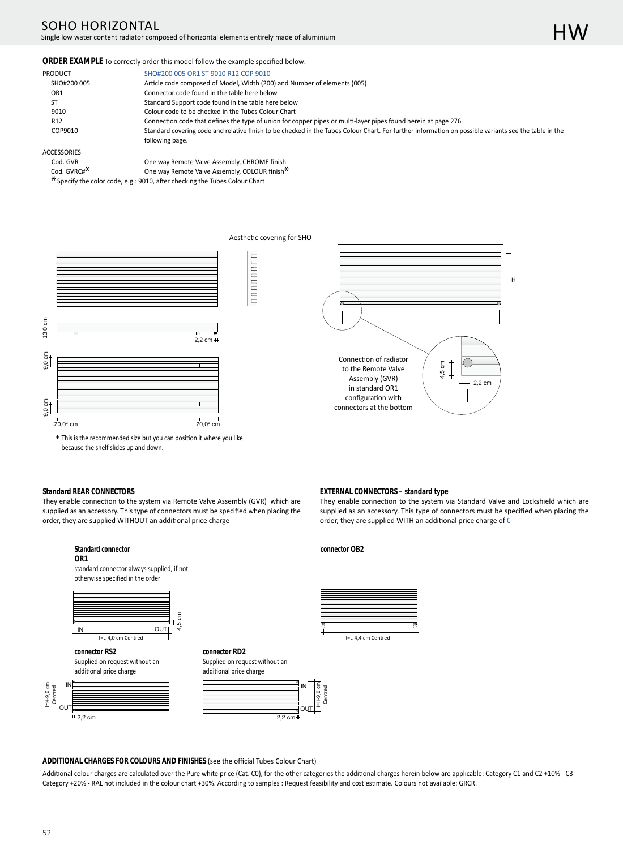# SOHO HORIZONTAL

## Single low water content radiator composed of horizontal elements entirely made of aluminium

#### **ORDER EXAMPLE** To correctly order this model follow the example specified below:

| PRODUCT         | SHO#200 005 OR1 ST 9010 R12 COP 9010                                                                                                                  |
|-----------------|-------------------------------------------------------------------------------------------------------------------------------------------------------|
| SHO#200 005     | Article code composed of Model, Width (200) and Number of elements (005)                                                                              |
| OR1             | Connector code found in the table here below                                                                                                          |
| ST              | Standard Support code found in the table here below                                                                                                   |
| 9010            | Colour code to be checked in the Tubes Colour Chart                                                                                                   |
| R <sub>12</sub> | Connection code that defines the type of union for copper pipes or multi-layer pipes found herein at page 276                                         |
| COP9010         | Standard covering code and relative finish to be checked in the Tubes Colour Chart. For further information on possible variants see the table in the |
|                 | following page.                                                                                                                                       |

**Andonano** 

#### ACCESSORIES

| Cod. GVR                | One way Remote Valve Assembly, CHROME finish  |
|-------------------------|-----------------------------------------------|
| Cod. GVRC# <sup>*</sup> | One way Remote Valve Assembly, COLOUR finish* |

Specify the color code, e.g.: 9010, after checking the Tubes Colour Chart



\* This is the recommended size but you can position it where you like because the shelf slides up and down.



#### **Standard REAR CONNECTORS**

They enable connection to the system via Remote Valve Assembly (GVR) which are supplied as an accessory. This type of connectors must be specified when placing the order, they are supplied WITHOUT an additional price charge

#### **EXTERNAL CONNECTORS – standard type**

They enable connection to the system via Standard Valve and Lockshield which are supplied as an accessory. This type of connectors must be specified when placing the order, they are supplied WITH an additional price charge of  $\epsilon$ 



#### ADDITIONAL CHARGES FOR COLOURS AND FINISHES (see the official Tubes Colour Chart)

Additional colour charges are calculated over the Pure white price (Cat. C0), for the other categories the additional charges herein below are applicable: Category C1 and C2 +10% - C3 Category +20% - RAL not included in the colour chart +30%. According to samples : Request feasibility and cost estimate. Colours not available: GRCR.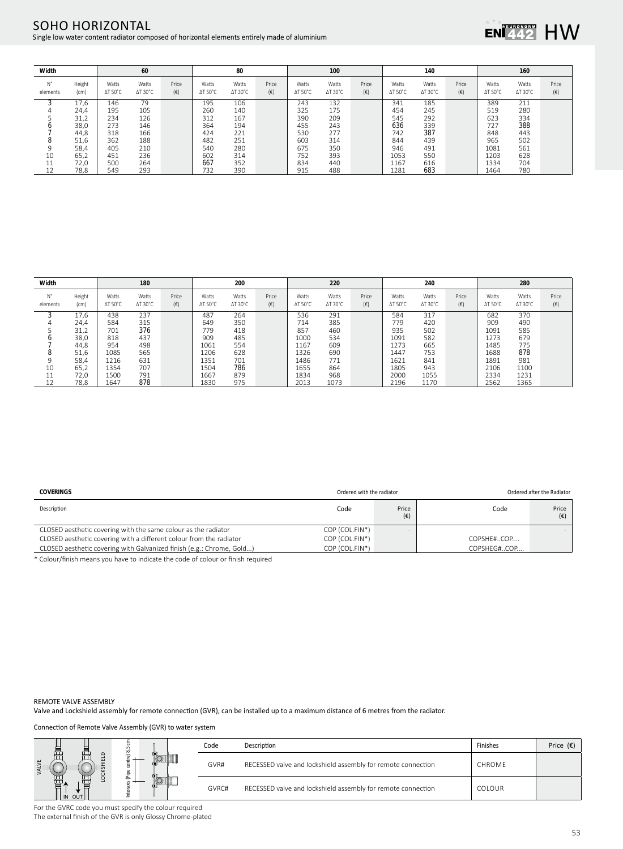## SOHO HORIZONTAL Single low water content radiator composed of horizontal elements entirely made of aluminium



| Width          |                | 60                       |                          |                       | 80                       |                          |                       | 100                      |                          |                       | 140                      |                          |                       | 160                      |                          |                       |
|----------------|----------------|--------------------------|--------------------------|-----------------------|--------------------------|--------------------------|-----------------------|--------------------------|--------------------------|-----------------------|--------------------------|--------------------------|-----------------------|--------------------------|--------------------------|-----------------------|
| N°<br>elements | Height<br>(cm) | Watts<br>$\Delta$ T 50°C | Watts<br>$\Delta T$ 30°C | Price<br>$(\epsilon)$ | Watts<br>$\Delta T$ 50°C | Watts<br>$\Delta$ T 30°C | Price<br>$(\epsilon)$ | Watts<br>$\Delta T$ 50°C | Watts<br>$\Delta$ T 30°C | Price<br>$(\epsilon)$ | Watts<br>$\Delta T$ 50°C | Watts<br>$\Delta$ T 30°C | Price<br>$(\epsilon)$ | Watts<br>$\Delta T$ 50°C | Watts<br>$\Delta T$ 30°C | Price<br>$(\epsilon)$ |
|                | 17,6           | 146                      | 79                       |                       | 195                      | 106                      |                       | 243                      | 132                      |                       | 341                      | 185                      |                       | 389                      | 211                      |                       |
| 4              | 24,4           | 195                      | 105                      |                       | 260                      | 140                      |                       | 325                      | 175                      |                       | 454                      | 245                      |                       | 519                      | 280                      |                       |
|                | 31,2           | 234                      | 126                      |                       | 312                      | 167                      |                       | 390                      | 209                      |                       | 545                      | 292                      |                       | 623                      | 334                      |                       |
|                | 38,0           | 273                      | 146                      |                       | 364                      | 194                      |                       | 455                      | 243                      |                       | 636                      | 339                      |                       | 727                      | 388                      |                       |
|                | 44,8           | 318                      | 166                      |                       | 424                      | 221                      |                       | 530                      | 277                      |                       | 742                      | 387                      |                       | 848                      | 443                      |                       |
| o              | 51,6           | 362                      | 188                      |                       | 482                      | 251                      |                       | 603                      | 314                      |                       | 844                      | 439                      |                       | 965                      | 502                      |                       |
| 9              | 58,4           | 405                      | 210                      |                       | 540                      | 280                      |                       | 675                      | 350                      |                       | 946                      | 491                      |                       | 1081                     | 561                      |                       |
| 10             | 65,2           | 451                      | 236                      |                       | 602                      | 314                      |                       | 752                      | 393                      |                       | 1053                     | 550                      |                       | 1203                     | 628                      |                       |
| 11             | 72,0           | 500                      | 264                      |                       | 667                      | 352                      |                       | 834                      | 440                      |                       | 1167                     | 616                      |                       | 1334                     | 704                      |                       |
|                | 78.8           | 549                      | 293                      |                       | 732                      | 390                      |                       | 915                      | 488                      |                       | 1281                     | 683                      |                       | 1464                     | 780                      |                       |

| Width          |                | 180                      |                          |                       | 200                      |                          |                       | 220                      |                          |              | 240                      |                          |                       | 280                      |                          |                       |
|----------------|----------------|--------------------------|--------------------------|-----------------------|--------------------------|--------------------------|-----------------------|--------------------------|--------------------------|--------------|--------------------------|--------------------------|-----------------------|--------------------------|--------------------------|-----------------------|
| N°<br>elements | Height<br>(cm) | Watts<br>$\Delta T$ 50°C | Watts<br>$\Delta$ T 30°C | Price<br>$(\epsilon)$ | Watts<br>$\Delta T$ 50°C | Watts<br>$\Delta$ T 30°C | Price<br>$(\epsilon)$ | Watts<br>$\Delta T$ 50°C | Watts<br>$\Delta$ T 30°C | Price<br>(€) | Watts<br>$\Delta T$ 50°C | Watts<br>$\Delta$ T 30°C | Price<br>$(\epsilon)$ | Watts<br>$\Delta T$ 50°C | Watts<br>$\Delta T$ 30°C | Price<br>$(\epsilon)$ |
|                | 17,6           | 438                      | 237                      |                       | 487                      | 264                      |                       | 536                      | 291                      |              | 584                      | 317                      |                       | 682                      | 370                      |                       |
|                | 24,4           | 584                      | 315                      |                       | 649                      | 350                      |                       | 714                      | 385                      |              | 779                      | 420                      |                       | 909                      | 490                      |                       |
|                | 31,2           | 701                      | 376                      |                       | 779                      | 418                      |                       | 857                      | 460                      |              | 935                      | 502                      |                       | 1091                     | 585                      |                       |
|                | 38,0           | 818                      | 437                      |                       | 909                      | 485                      |                       | 1000                     | 534                      |              | 1091                     | 582                      |                       | 1273                     | 679                      |                       |
|                | 44,8           | 954                      | 498                      |                       | 1061                     | 554                      |                       | 1167                     | 609                      |              | 1273                     | 665                      |                       | 1485                     | 775                      |                       |
| 8              | 51,6           | 1085                     | 565                      |                       | 1206                     | 628                      |                       | 1326                     | 690                      |              | 1447                     | 753                      |                       | 1688                     | 878                      |                       |
| 9              | 58,4           | 1216                     | 631                      |                       | 1351                     | 701                      |                       | 1486                     | 771                      |              | 1621                     | 841                      |                       | 1891                     | 981                      |                       |
| 10             | 65,2           | 1354                     | 707                      |                       | 1504                     | 786                      |                       | 1655                     | 864                      |              | 1805                     | 943                      |                       | 2106                     | 1100                     |                       |
| 11<br>ᆠᆂ       | 72,0           | 1500                     | 791                      |                       | 1667                     | 879                      |                       | 1834                     | 968                      |              | 2000                     | 1055                     |                       | 2334                     | 1231                     |                       |
| 12             | 78.8           | 1647                     | 878                      |                       | 1830                     | 975                      |                       | 2013                     | 1073                     |              | 2196                     | 1170                     |                       | 2562                     | 1365                     |                       |

| <b>COVERINGS</b>                                                      | Ordered with the radiator |                       |             | Ordered after the Radiator |
|-----------------------------------------------------------------------|---------------------------|-----------------------|-------------|----------------------------|
| Description                                                           | Code                      | Price<br>$(\epsilon)$ | Code        | Price<br>$(\epsilon)$      |
| CLOSED aesthetic covering with the same colour as the radiator        | COP (COL.FIN*)            |                       |             |                            |
| CLOSED aesthetic covering with a different colour from the radiator   | COP (COL.FIN*)            |                       | COPSHE#COP  |                            |
| CLOSED aesthetic covering with Galvanized finish (e.g.: Chrome, Gold) | COP (COL.FIN*)            |                       | COPSHEG#COP |                            |
|                                                                       |                           |                       |             |                            |

\* Colour/finish means you have to indicate the code of colour or finish required

#### REMOTE VALVE ASSEMBLY

Valve and Lockshield assembly for remote connection (GVR), can be installed up to a maximum distance of 6 metres from the radiator.

Connection of Remote Valve Assembly (GVR) to water system

|                    |        | Code  | Description                                                  | Finishes      | Price $(\epsilon)$ |
|--------------------|--------|-------|--------------------------------------------------------------|---------------|--------------------|
| 급<br>ய<br>I IN OUT | ≂<br>≞ | GVR#  | RECESSED valve and lockshield assembly for remote connection | CHROME        |                    |
|                    | ≞      | GVRC# | RECESSED valve and lockshield assembly for remote connection | <b>COLOUR</b> |                    |

For the GVRC code you must specify the colour required The external finish of the GVR is only Glossy Chrome-plated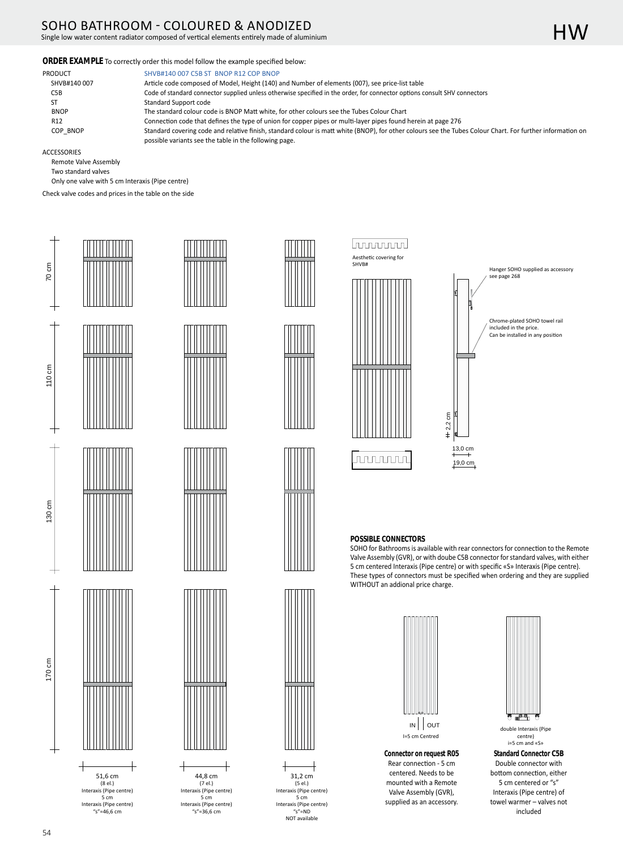# SOHO BATHROOM - COLOURED & ANODIZED

Single low water content radiator composed of vertical elements entirely made of aluminium

## ORDER EXAMPLE To correctly order this model follow the example specified below:

PRODUCT SHVB#140 007 C5B ST BNOP R12 COP BNOP

| SHVB#140 007     | Article code composed of Model, Height (140) and Number of elements (007), see price-list table                                                            |
|------------------|------------------------------------------------------------------------------------------------------------------------------------------------------------|
| C <sub>5</sub> B | Code of standard connector supplied unless otherwise specified in the order, for connector options consult SHV connectors                                  |
| SТ               | Standard Support code                                                                                                                                      |
| <b>BNOP</b>      | The standard colour code is BNOP Matt white, for other colours see the Tubes Colour Chart                                                                  |
| R <sub>12</sub>  | Connection code that defines the type of union for copper pipes or multi-layer pipes found herein at page 276                                              |
| COP BNOP         | Standard covering code and relative finish, standard colour is matt white (BNOP), for other colours see the Tubes Colour Chart. For further information on |
|                  | possible variants see the table in the following page.                                                                                                     |

ACCESSORIES

70 cm

110 cm

Remote Valve Assembly

 Two standard valves Only one valve with 5 cm Interaxis (Pipe centre)

Check valve codes and prices in the table on the side













31,2 cm  $(5el.)$ Interaxis (Pipe centre) 5 cm Interaxis (Pipe centre)  $s''=ND$ NOT available

44,8 cm  $(7el.)$ Interaxis (Pipe centre) 5 cm Interaxis (Pipe centre)  $s$ "=36,6 cm





## **POSSIBLE CONNECTORS**

SOHO for Bathrooms is available with rear connectors for connection to the Remote Valve Assembly (GVR), or with doube C5B connector for standard valves, with either 5 cm centered Interaxis (Pipe centre) or with specific «S» Interaxis (Pipe centre). These types of connectors must be specified when ordering and they are supplied WITHOUT an addional price charge.



**Connector on request R05** Rear connection - 5 cm centered. Needs to be mounted with a Remote Valve Assembly (GVR), supplied as an accessory.



**Standard Connector C5B** Double connector with bottom connection, either 5 cm centered or "s" Interaxis (Pipe centre) of towel warmer – valves not included centre) i=5 cm and «S»



170 cm



54

Interaxis (Pipe centre) 5 cm Interaxis (Pipe centre)  $s$ "=46,6 cm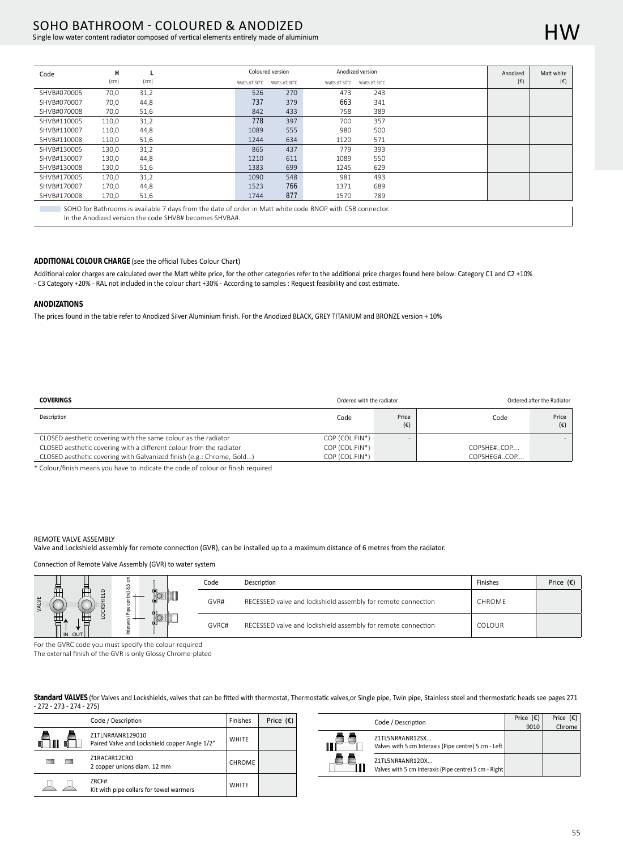# SOHO BATHROOM - COLOURED & ANODIZED

Single low water content radiator composed of vertical elements entirely made of aluminium

| Code        | H     |      |               | Coloured version |               | Anodized version | Anodized     | Matt white   |
|-------------|-------|------|---------------|------------------|---------------|------------------|--------------|--------------|
|             | (cm)  | (cm) | Watts ∆T 50°C | Watts AT 30°C    | Watts ∆T 50°C | Watts AT 30°C    | $(\epsilon)$ | $(\epsilon)$ |
| SHVB#070005 | 70,0  | 31,2 | 526           | 270              | 473           | 243              |              |              |
| SHVB#070007 | 70,0  | 44,8 | 737           | 379              | 663           | 341              |              |              |
| SHVB#070008 | 70,0  | 51,6 | 842           | 433              | 758           | 389              |              |              |
| SHVB#110005 | 110,0 | 31,2 | 778           | 397              | 700           | 357              |              |              |
| SHVB#110007 | 110,0 | 44,8 | 1089          | 555              | 980           | 500              |              |              |
| SHVB#110008 | 110,0 | 51,6 | 1244          | 634              | 1120          | 571              |              |              |
| SHVB#130005 | 130,0 | 31,2 | 865           | 437              | 779           | 393              |              |              |
| SHVB#130007 | 130,0 | 44,8 | 1210          | 611              | 1089          | 550              |              |              |
| SHVB#130008 | 130,0 | 51,6 | 1383          | 699              | 1245          | 629              |              |              |
| SHVB#170005 | 170,0 | 31,2 | 1090          | 548              | 981           | 493              |              |              |
| SHVB#170007 | 170,0 | 44,8 | 1523          | 766              | 1371          | 689              |              |              |
| SHVB#170008 | 170,0 | 51,6 | 1744          | 877              | 1570          | 789              |              |              |
|             |       |      |               |                  |               |                  |              |              |

SOHO for Bathrooms is available 7 days from the date of order in Matt white code BNOP with C5B connector.

In the Anodized version the code SHVB# becomes SHVBA#.

## ADDITIONAL COLOUR CHARGE (see the official Tubes Colour Chart)

Additional color charges are calculated over the Matt white price, for the other categories refer to the additional price charges found here below: Category C1 and C2 +10% - C3 Category +20% - RAL not included in the colour chart +30% - According to samples : Request feasibility and cost estimate.

## **ANODIZATIONS**

The prices found in the table refer to Anodized Silver Aluminium finish. For the Anodized BLACK, GREY TITANIUM and BRONZE version + 10%

| <b>COVERINGS</b>                                                      | Ordered with the radiator |                       |             | Ordered after the Radiator |  |  |  |
|-----------------------------------------------------------------------|---------------------------|-----------------------|-------------|----------------------------|--|--|--|
| Description                                                           | Code                      | Price<br>$(\epsilon)$ | Code        | Price<br>$(\epsilon)$      |  |  |  |
| CLOSED aesthetic covering with the same colour as the radiator        | COP (COL.FIN*)            |                       |             |                            |  |  |  |
| CLOSED aesthetic covering with a different colour from the radiator   | COP (COL.FIN*)            |                       | COPSHE#COP  |                            |  |  |  |
| CLOSED aesthetic covering with Galvanized finish (e.g.: Chrome, Gold) | COP (COL.FIN*)            |                       | COPSHEG#COP |                            |  |  |  |

\* Colour/finish means you have to indicate the code of colour or finish required

#### REMOTE VALVE ASSEMBLY

Valve and Lockshield assembly for remote connection (GVR), can be installed up to a maximum distance of 6 metres from the radiator.

#### Connection of Remote Valve Assembly (GVR) to water system

|  |              |   | Code  | Description                                                  | Finishes | Price $(\epsilon)$ |
|--|--------------|---|-------|--------------------------------------------------------------|----------|--------------------|
|  | .은           |   | GVR#  | RECESSED valve and lockshield assembly for remote connection | CHROME   |                    |
|  | ŒΤ<br>IN OUT | ے | GVRC# | RECESSED valve and lockshield assembly for remote connection | COLOUR   |                    |

For the GVRC code you must specify the colour required

The external finish of the GVR is only Glossy Chrome-plated

Standard VALVES (for Valves and Lockshields, valves that can be fitted with thermostat, Thermostatic valves, or Single pipe, Twin pipe, Stainless steel and thermostatic heads see pages 271  $-272 - 273 - 274 - 275$ 

|        | Finishes                                                          | Price $(E)$   |  |
|--------|-------------------------------------------------------------------|---------------|--|
|        | Z1TLNR#ANR129010<br>Paired Valve and Lockshield copper Angle 1/2" | <b>WHITE</b>  |  |
| 罒<br>一 | Z1RAC#R12CRO<br>2 copper unions diam. 12 mm                       | <b>CHROME</b> |  |
|        | ZRCF#<br>Kit with pipe collars for towel warmers                  | <b>WHITE</b>  |  |

| Code / Description                                                       | Price $(\epsilon)$ | Price $(E)$ |
|--------------------------------------------------------------------------|--------------------|-------------|
|                                                                          | 9010               | Chrome      |
| Z1TL5NR#ANR12SX<br>Valves with 5 cm Interaxis (Pipe centre) 5 cm - Left  |                    |             |
| Z1TL5NR#ANR12DX<br>Valves with 5 cm Interaxis (Pipe centre) 5 cm - Right |                    |             |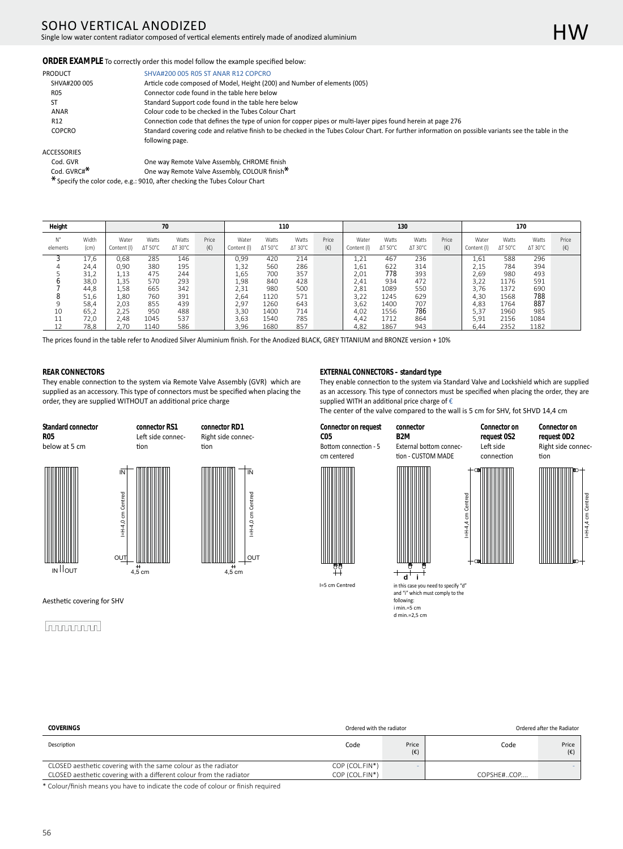# SOHO VERTICAL ANODIZED

Single low water content radiator composed of vertical elements entirely made of anodized aluminium

**ORDER EXAMPLE** To correctly order this model follow the example specified below:

| PRODUCT         | SHVA#200 005 R05 ST ANAR R12 COPCRO                                                                                                                   |
|-----------------|-------------------------------------------------------------------------------------------------------------------------------------------------------|
| SHVA#200 005    | Article code composed of Model, Height (200) and Number of elements (005)                                                                             |
| R05             | Connector code found in the table here below                                                                                                          |
|                 | Standard Support code found in the table here below                                                                                                   |
| ANAR            | Colour code to be checked in the Tubes Colour Chart                                                                                                   |
| R <sub>12</sub> | Connection code that defines the type of union for copper pipes or multi-layer pipes found herein at page 276                                         |
| <b>COPCRO</b>   | Standard covering code and relative finish to be checked in the Tubes Colour Chart. For further information on possible variants see the table in the |
|                 | following page.                                                                                                                                       |

#### ACCESSORIES

| Cod. GVR       | One way Remote Valve Assembly, CHROME finish |
|----------------|----------------------------------------------|
| Cod. $GVRCH^*$ | One way Remote Valve Assembly, COLOUR finish |

\* Specify the color code, e.g.: 9010, after checking the Tubes Colour Chart

| Height         | 70            |                      |                          |                          |                       | 110                  |                          |                  |                       | 130                  |                  |                          |                       | 170                  |                  |                  |                       |
|----------------|---------------|----------------------|--------------------------|--------------------------|-----------------------|----------------------|--------------------------|------------------|-----------------------|----------------------|------------------|--------------------------|-----------------------|----------------------|------------------|------------------|-----------------------|
| Ν°<br>elements | Width<br>(cm) | Water<br>Content (I) | Watts<br>$\Delta T$ 50°C | Watts<br>$\Delta$ T 30°C | Price<br>$(\epsilon)$ | Water<br>Content (I) | Watts<br>$\Delta T$ 50°C | Watts<br>∆T 30°C | Price<br>$(\epsilon)$ | Water<br>Content (I) | Watts<br>∆T 50°C | Watts<br>$\Delta$ T 30°C | Price<br>$(\epsilon)$ | Water<br>Content (I) | Watts<br>∆T 50°C | Watts<br>∆T 30°C | Price<br>$(\epsilon)$ |
|                | 17,6          | 0,68                 | 285                      | 146                      |                       | 0,99                 | 420                      | 214              |                       | 1,21                 | 467              | 236                      |                       | 1,61                 | 588              | 296              |                       |
|                | 24,4          | 0.90                 | 380                      | 195                      |                       | 1,32                 | 560                      | 286              |                       | 1,61                 | 622              | 314                      |                       | 2,15                 | 784              | 394              |                       |
|                | 31,2          | 1.13                 | 475                      | 244                      |                       | 1,65                 | 700                      | 357              |                       | 2,01                 | 778              | 393                      |                       | 2,69                 | 980              | 493              |                       |
|                | 38,0          | 1,35                 | 570                      | 293                      |                       | 1,98                 | 840                      | 428              |                       | 2,41                 | 934              | 472                      |                       | 3,22                 | 1176             | 591              |                       |
|                | 44,8          | 1.58                 | 665                      | 342                      |                       | 2,31                 | 980                      | 500              |                       | 2,81                 | 1089             | 550                      |                       | 3.76                 | 1372             | 690              |                       |
|                | 51,6          | 1.80                 | 760                      | 391                      |                       | 2.64                 | 1120                     | 571              |                       | 3.22                 | 1245             | 629                      |                       | 4.30                 | 1568             | 788              |                       |
|                | 58,4          | 2,03                 | 855                      | 439                      |                       | 2,97                 | 1260                     | 643              |                       | 3,62                 | 1400             | 707                      |                       | 4,83                 | 1764             | 887              |                       |
| 10             | 65,2          | 2,25                 | 950                      | 488                      |                       | 3,30                 | 1400                     | 714              |                       | 4,02                 | 1556             | 786                      |                       | 5,37                 | 1960             | 985              |                       |
| 11             | 72,0          | 2.48                 | 1045                     | 537                      |                       | 3.63                 | 1540                     | 785              |                       | 4.42                 | 1712             | 864                      |                       | 5.91                 | 2156             | 1084             |                       |
|                | 78,8          | 2.70                 | 1140                     | 586                      |                       | 3.96                 | 1680                     | 857              |                       | 4.82                 | 1867             | 943                      |                       | 6.44                 | 2352             | 1182             |                       |

The prices found in the table refer to Anodized Silver Aluminium finish. For the Anodized BLACK, GREY TITANIUM and BRONZE version + 10%

### **REAR CONNECTORS**

They enable connection to the system via Remote Valve Assembly (GVR) which are supplied as an accessory. This type of connectors must be specified when placing the order, they are supplied WITHOUT an additional price charge

> **connector RS1** Left side connec-

**Standard connector R05**  below at 5 cm





tion



**connector RD1** Right side connec-

## 

**EXTERNAL CONNECTORS – standard type** 

They enable connection to the system via Standard Valve and Lockshield which are supplied as an accessory. This type of connectors must be specified when placing the order, they are supplied WITH an additional price charge of €

The center of the valve compared to the wall is 5 cm for SHV, fot SHVD 14,4 cm

**Connector on request C05**

cm centered

I=5 cm Centred

**B2M** Bottom connection - 5

**connector** External bottom connection - CUSTOM MADE

**request 0S2** Left side connection

**Connector on** 









I=H-4,4 cm Centred

I=H-4,4 cm Cer

(€)

4,5 cm  $\overrightarrow{H}$   $\overrightarrow{d}$  **i** in this case you need to specify "d" and "i" which must comply to the following: i min.=5 cm<br>d min.=2,5 cm

CLOSED aesthetic covering with the same colour as the radiator COP (COL.FIN\*) CLOSED aesthetic covering with a different colour from the radiator COP (COL.FIN\*) COPSHE#..COP. **COVERINGS** Ordered with the radiator **COVERINGS** Ordered after the Radiator **COVERINGS** Ordered after the Radiator Description **Code** Price Price **Price Price Price Price Price Price Price Price Price Price Price Price Price Price Price Price Price Price Price Price Price Price Price Price Price Price Price Price Price Price Price Pric** (€) Code Price

\* Colour/finish means you have to indicate the code of colour or finish required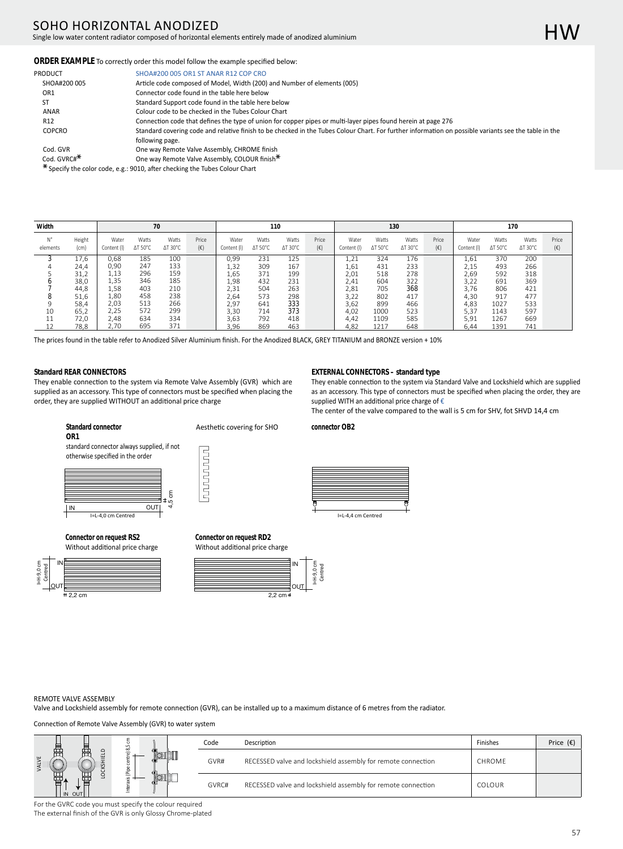# SOHO HORIZONTAL ANODIZED

Single low water content radiator composed of horizontal elements entirely made of anodized aluminium

## ORDER EXAMPLE To correctly order this model follow the example specified below:

| PRODUCT                 | SHOA#200 005 OR1 ST ANAR R12 COP CRO                                                                                                                  |
|-------------------------|-------------------------------------------------------------------------------------------------------------------------------------------------------|
| SHOA#200 005            | Article code composed of Model, Width (200) and Number of elements (005)                                                                              |
| OR1                     | Connector code found in the table here below                                                                                                          |
| ST                      | Standard Support code found in the table here below                                                                                                   |
| ANAR                    | Colour code to be checked in the Tubes Colour Chart                                                                                                   |
| R <sub>12</sub>         | Connection code that defines the type of union for copper pipes or multi-layer pipes found herein at page 276                                         |
| <b>COPCRO</b>           | Standard covering code and relative finish to be checked in the Tubes Colour Chart. For further information on possible variants see the table in the |
|                         | following page.                                                                                                                                       |
| Cod. GVR                | One way Remote Valve Assembly, CHROME finish                                                                                                          |
| Cod. GVRC# <sup>*</sup> | One way Remote Valve Assembly, COLOUR finish <sup>*</sup>                                                                                             |
|                         | $*$ Specify the solar sode $2.5 \cdot 0.010$ after shecking the Tubes Colour Chart                                                                    |

Specify the color code, e.g.: 9010, after checking the Tubes Colour Chart

| Width          | 70             |                      |                          |                          |                       | 110                  |                          |                          |                       | 130                  |                          |                          |                       | 170                  |                  |                          |                       |
|----------------|----------------|----------------------|--------------------------|--------------------------|-----------------------|----------------------|--------------------------|--------------------------|-----------------------|----------------------|--------------------------|--------------------------|-----------------------|----------------------|------------------|--------------------------|-----------------------|
| N°<br>elements | Height<br>(cm) | Water<br>Content (I) | Watts<br>$\Delta T$ 50°C | Watts<br>$\Delta$ T 30°C | Price<br>$(\epsilon)$ | Water<br>Content (I) | Watts<br>$\Delta T$ 50°C | Watts<br>$\Delta$ T 30°C | Price<br>$(\epsilon)$ | Water<br>Content (I) | Watts<br>$\Delta T$ 50°C | Watts<br>$\Delta$ T 30°C | Price<br>$(\epsilon)$ | Water<br>Content (I) | Watts<br>ΔT 50°C | Watts<br>$\Delta$ T 30°C | Price<br>$(\epsilon)$ |
|                | 17,6           | 0.68                 | 185                      | 100                      |                       | 0,99                 | 231                      | 125                      |                       | 1,21                 | 324                      | 176                      |                       | 1.61                 | 370              | 200                      |                       |
| 4              | 24,4           | 0.90                 | 247                      | 133                      |                       | 1,32                 | 309                      | 167                      |                       | 1,61                 | 431                      | 233                      |                       | 2,15                 | 493              | 266                      |                       |
|                | 31,2           | 1,13                 | 296                      | 159                      |                       | 1,65                 | 371                      | 199                      |                       | 2,01                 | 518                      | 278                      |                       | 2,69                 | 592              | 318                      |                       |
|                | 38,0           | 1,35                 | 346                      | 185                      |                       | 1,98                 | 432                      | 231                      |                       | 2,41                 | 604                      | 322                      |                       | 3.22                 | 691              | 369                      |                       |
|                | 44,8           | 1,58                 | 403                      | 210                      |                       | 2,31                 | 504                      | 263                      |                       | 2,81                 | 705                      | 368                      |                       | 3.76                 | 806              | 421                      |                       |
|                | 51,6           | 1,80                 | 458                      | 238                      |                       | 2,64                 | 573                      | 298                      |                       | 3,22                 | 802                      | 417                      |                       | 4,30                 | 917              | 477                      |                       |
|                | 58.4           | 2.03                 | 513                      | 266                      |                       | 2,97                 | 641                      | 333                      |                       | 3.62                 | 899                      | 466                      |                       | 4.83                 | 1027             | 533                      |                       |
| 10             | 65,2           | 2,25                 | 572                      | 299                      |                       | 3,30                 | 714                      | 373                      |                       | 4,02                 | 1000                     | 523                      |                       | 5.37                 | 1143             | 597                      |                       |
| 11             | 72.0           | 2.48                 | 634                      | 334                      |                       | 3.63                 | 792                      | 418                      |                       | 4.42                 | 1109                     | 585                      |                       | 5.91                 | 1267             | 669                      |                       |
| 12             | 78,8           | 2.70                 | 695                      | 371                      |                       | 3.96                 | 869                      | 463                      |                       | 4.82                 | 1217                     | 648                      |                       | 6.44                 | 1391             | 741                      |                       |

The prices found in the table refer to Anodized Silver Aluminium finish. For the Anodized BLACK, GREY TITANIUM and BRONZE version + 10%

## **Standard REAR CONNECTORS**

They enable connection to the system via Remote Valve Assembly (GVR) which are supplied as an accessory. This type of connectors must be specified when placing the order, they are supplied WITHOUT an additional price charge

#### **EXTERNAL CONNECTORS – standard type**

They enable connection to the system via Standard Valve and Lockshield which are supplied as an accessory. This type of connectors must be specified when placing the order, they are supplied WITH an additional price charge of €

The center of the valve compared to the wall is 5 cm for SHV, fot SHVD 14,4 cm

#### **Standard connector OR1**

standard connector always supplied, if not otherwise specified in the order



**Connector on request RS2** Without additional price charge







## **connector OB2**



#### REMOTE VALVE ASSEMBLY

**OUT** 

I=H-9,0 cm Centred

 $=$ H-9.0 cm

 $+2.2$  cm

IN

Valve and Lockshield assembly for remote connection (GVR), can be installed up to a maximum distance of 6 metres from the radiator.

Connection of Remote Valve Assembly (GVR) to water system

|        |   | Code  | Description                                                  | Finishes | Price $(\epsilon)$ |
|--------|---|-------|--------------------------------------------------------------|----------|--------------------|
|        | ⋍ | GVR#  | RECESSED valve and lockshield assembly for remote connection | CHROME   |                    |
| IN OUT |   | GVRC# | RECESSED valve and lockshield assembly for remote connection | COLOUR.  |                    |

For the GVRC code you must specify the colour required The external finish of the GVR is only Glossy Chrome-plated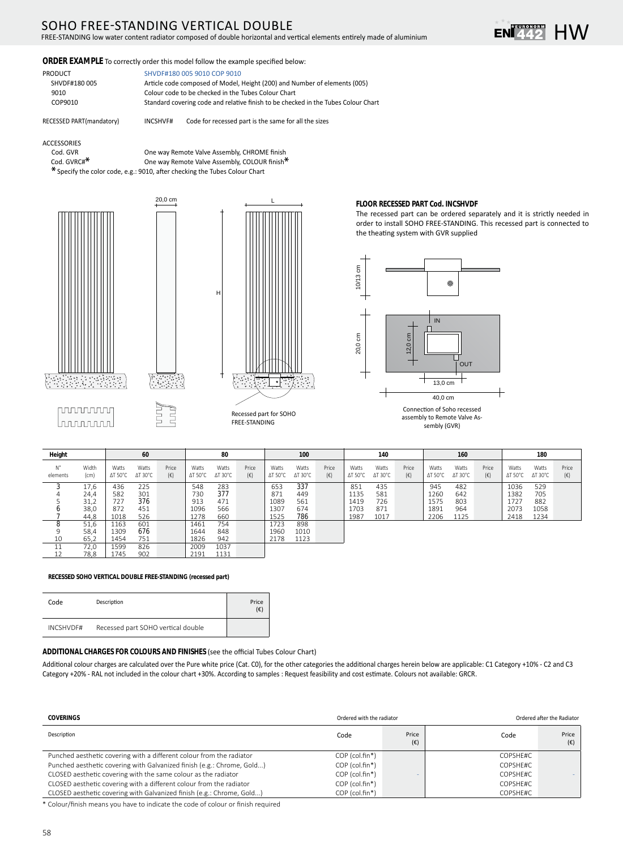# SOHO FREE-STANDING VERTICAL DOUBLE

FREE-STANDING low water content radiator composed of double horizontal and vertical elements entirely made of aluminium



## ORDER EXAMPLE To correctly order this model follow the example specified below:

20,0 cm

| <b>PRODUCT</b> | SHVDF#180 005 9010 COP 9010                                                        |
|----------------|------------------------------------------------------------------------------------|
| SHVDF#180 005  | Article code composed of Model, Height (200) and Number of elements (005)          |
| 9010           | Colour code to be checked in the Tubes Colour Chart                                |
| COP9010        | Standard covering code and relative finish to be checked in the Tubes Colour Chart |

RECESSED PART(mandatory)

INCSHVF# Code for recessed part is the same for all the sizes

ACCESSORIES

Cod. GVR Cod. GVRC#<sup>\*</sup>

One way Remote Valve Assembly, CHROME finish One way Remote Valve Assembly, COLOUR finish\* \* Specify the color code, e.g.: 9010, after checking the Tubes Colour Chart





#### FLOOR RECESSED PART Cod. INCSHVDF

The recessed part can be ordered separately and it is strictly needed in order to install SOHO FREE-STANDING. This recessed part is connected to the theating system with GVR supplied



sembly (GVR)

| Height         |               |                          | 60                       |                       |                          | 80                       |                       |                          | 100                      |                       |                          | 140                      |                       |                          | 160                      |                       |                          | 180                      |                       |
|----------------|---------------|--------------------------|--------------------------|-----------------------|--------------------------|--------------------------|-----------------------|--------------------------|--------------------------|-----------------------|--------------------------|--------------------------|-----------------------|--------------------------|--------------------------|-----------------------|--------------------------|--------------------------|-----------------------|
| N°<br>elements | Width<br>(cm) | Watts<br>$\Delta T$ 50°C | Watts<br>$\Delta T$ 30°C | Price<br>$(\epsilon)$ | Watts<br>$\Delta T$ 50°C | Watts<br>$\Delta T$ 30°C | Price<br>$(\epsilon)$ | Watts<br>$\Delta$ T 50°C | Watts<br>$\Delta T$ 30°C | Price<br>$(\epsilon)$ | Watts<br>$\Delta T$ 50°C | Watts<br>$\Delta$ T 30°C | Price<br>$(\epsilon)$ | Watts<br>$\Delta T$ 50°C | Watts<br>$\Delta$ T 30°C | Price<br>$(\epsilon)$ | Watts<br>$\Delta T$ 50°C | Watts<br>$\Delta$ T 30°C | Price<br>$(\epsilon)$ |
|                | 17.6          | 436                      | 225                      |                       | 548                      | 283                      |                       | 653                      | 337                      |                       | 851                      | 435                      |                       | 945                      | 482                      |                       | 1036                     | 529                      |                       |
|                | 24.4          | 582                      | 301                      |                       | 730                      | 377                      |                       | 871                      | 449                      |                       | 1135                     | 581                      |                       | 1260                     | 642                      |                       | 1382                     | 705                      |                       |
|                | 31,2          | 727                      | 376                      |                       | 913                      | 471                      |                       | 1089                     | 561                      |                       | 1419                     | 726                      |                       | 1575                     | 803                      |                       | 1727                     | 882                      |                       |
|                | 38,0          | 872                      | 451                      |                       | 1096                     | 566                      |                       | 1307                     | 674                      |                       | 1703                     | 871                      |                       | 1891                     | 964                      |                       | 2073                     | 1058                     |                       |
|                | 44.8          | 1018                     | 526                      |                       | 1278                     | 660                      |                       | 1525                     | 786                      |                       | 1987                     | 1017                     |                       | 2206                     | 1125                     |                       | 2418                     | 1234                     |                       |
|                | 51,6          | 1163                     | 601                      |                       | 1461                     | 754                      |                       | 1723                     | 898                      |                       |                          |                          |                       |                          |                          |                       |                          |                          |                       |
|                | 58,4          | 1309                     | 676                      |                       | 1644                     | 848                      |                       | 1960                     | 1010                     |                       |                          |                          |                       |                          |                          |                       |                          |                          |                       |
| 10             | 65.2          | 1454                     | 751                      |                       | 1826                     | 942                      |                       | 2178                     | 1123                     |                       |                          |                          |                       |                          |                          |                       |                          |                          |                       |
|                | 72,0          | 1599                     | 826                      |                       | 2009                     | 1037                     |                       |                          |                          |                       |                          |                          |                       |                          |                          |                       |                          |                          |                       |
| 12             | 78,8          | 1745                     | 902                      |                       | 2191                     | 1131                     |                       |                          |                          |                       |                          |                          |                       |                          |                          |                       |                          |                          |                       |

#### RECESSED SOHO VERTICAL DOUBLE FREE-STANDING (recessed part)

| Code      | Description                        | Price<br>$(\epsilon)$ |
|-----------|------------------------------------|-----------------------|
| INCSHVDF# | Recessed part SOHO vertical double |                       |

#### ADDITIONAL CHARGES FOR COLOURS AND FINISHES (see the official Tubes Colour Chart)

Additional colour charges are calculated over the Pure white price (Cat. C0), for the other categories the additional charges herein below are applicable: C1 Category +10% - C2 and C3 Category +20% - RAL not included in the colour chart +30%. According to samples : Request feasibility and cost estimate. Colours not available: GRCR.

| COVERINGS                                                              | Ordered with the radiator |                       |          | Ordered after the Radiator |
|------------------------------------------------------------------------|---------------------------|-----------------------|----------|----------------------------|
| Description                                                            | Code                      | Price<br>$(\epsilon)$ | Code     | Price<br>$(\epsilon)$      |
| Punched aesthetic covering with a different colour from the radiator   | COP (col.fin*)            |                       | COPSHE#C |                            |
| Punched aesthetic covering with Galvanized finish (e.g.: Chrome, Gold) | COP (col.fin*)            |                       | COPSHE#C |                            |
| CLOSED aesthetic covering with the same colour as the radiator         | COP (col.fin*)            |                       | COPSHE#C |                            |
| CLOSED aesthetic covering with a different colour from the radiator    | COP (col.fin*)            |                       | COPSHE#C |                            |
| CLOSED aesthetic covering with Galvanized finish (e.g.: Chrome, Gold)  | COP (col.fin*)            |                       | COPSHE#C |                            |

\* Colour/finish means you have to indicate the code of colour or finish required